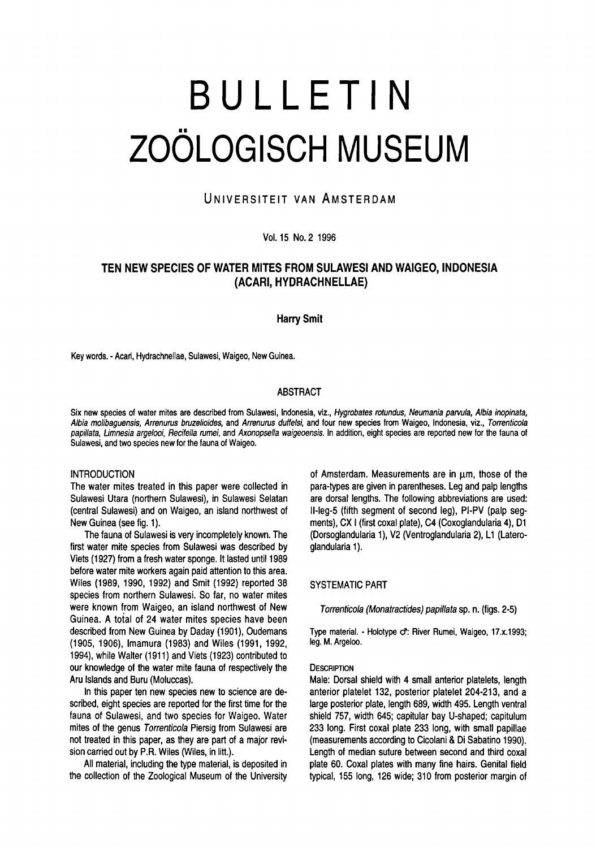# Bulletin Zoölogisch Museum

# UNIVERSITEIT VAN AMSTERDAM

Vol.15 No. 2 1996

# Ten new species of water mites from Sulawesi and Waigeo, Indonesia (Acari, Hydrachnellae)

Harry Smit

Key words. -Acari, Hydrachnellae, Sulawesi, Waigeo, New Guinea.

# **ABSTRACT**

Six new species of water mites are described from Sulawesi, Indonesia, viz., Hygrobates rotundus, Neumania parvula, Albia inopinata, Albia molibaguensis, Arrenurus bruzelioides, and Arrenurus duffelsi, and four new species from Waigeo, Indonesia, viz., Torrenticola papillata, Limnesia argelooi, Recifella rumei, and Axonopsella waigeoensis. In addition, eight species are reported new for the fauna of Sulawesi, and two species new for the fauna of Waigeo.

# **INTRODUCTION**

The water mites treated in this paper were collected in Sulawesi Utara (northern Sulawesi), in Sulawesi Selatan (central Sulawesi) and on Waigeo, an island northwest of New Guinea (see fig. 1).

The fauna of Sulawesi is very incompletely known. The first water mite species from Sulawesi was described by Viets (1927) from <sup>a</sup> fresh water sponge. It lasted until 1989 before water mite workers again paid attention to this area. Wiles (1989, 1990, 1992) and Smit (1992) reported 38 species from northern Sulawesi. So far, no water mites were known from Waigeo, an island northwest of New Guinea. A toial of 24 water mites species have been described from New Guinea by Daday (1901), Oudemans (1905, 1906), Imamura (1983) and Wiles (1991, 1992, 1994), while Walter (1911) and Viets (1923) contributed to our knowledge of the water mite fauna of respectively the Aru Islands and Buru (Moluccas).

In this paper ten new species new to science are described, eight species are reported for the first time for the fauna of Sulawesi, and two species for Waigeo. Water mites of the genus Torrenticola Piersig from Sulawesi are not treated in this paper, as they are part of <sup>a</sup> major revision carried out by P.R. Wiles (Wiles, in litt.).

All material, including the type material, is deposited in the collection of the Zoological Museum of the University of Amsterdam. Measurements are in  $\mu$ m, those of the para-types are given in parentheses. Leg and palp lengths are dorsal lengths. The following abbreviations are used: ll-leg-5 (fifth segment of second leg), PI-PV (palp segments), CX <sup>I</sup> (first coxal plate), C4 (Coxoglandularia 4), D1 (Dorsoglandularia 1), V2 (Ventroglandularia 2), L1 (Lateroglandularia 1).

# SYSTEMATIC PART

Torrenticola (Monatractides) papillata sp. n. (figs. 2-5)

Type material. - Holotype o: River Rumei, Waigeo, 17.x.1993; leg. M. Argeloo.

#### **DESCRIPTION**

Male: Dorsal shield with 4 small anterior platelets, length anterior platelet 132, posterior platelet 204-213, and <sup>a</sup> large posterior plate, length 689, width 495. Length ventral shield 757, width 645; capitular bay U-shaped; capitulum 233 long. First coxal plate 233 long, with small papillae (measurements according to Cicolani & Di Sabatino 1990). Length of median suture between second and third coxal plate 60. Coxal plates with many fine hairs. Genital field typical, 155 long, 126 wide; 310 from posterior margin of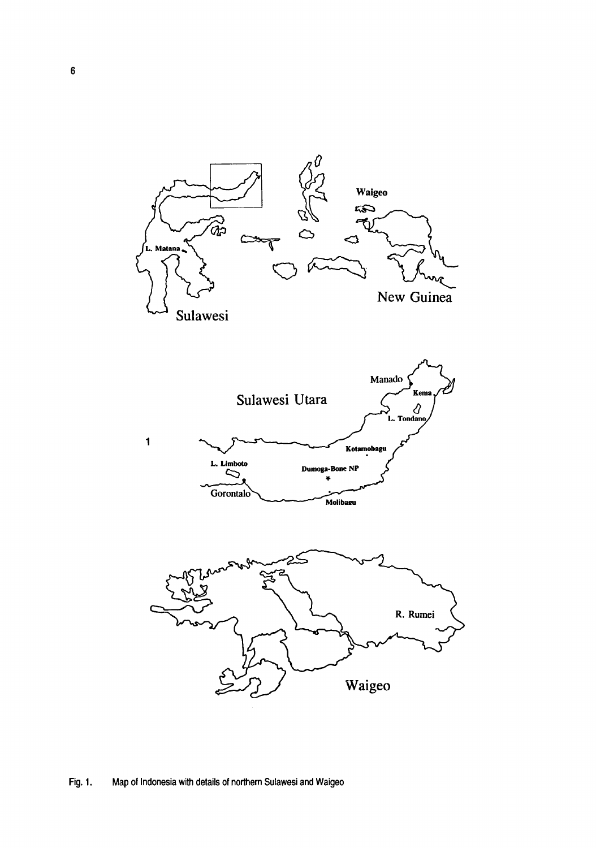

# Fig. 1. Map of Indonesia with details of northern Sulawesi and Waigeo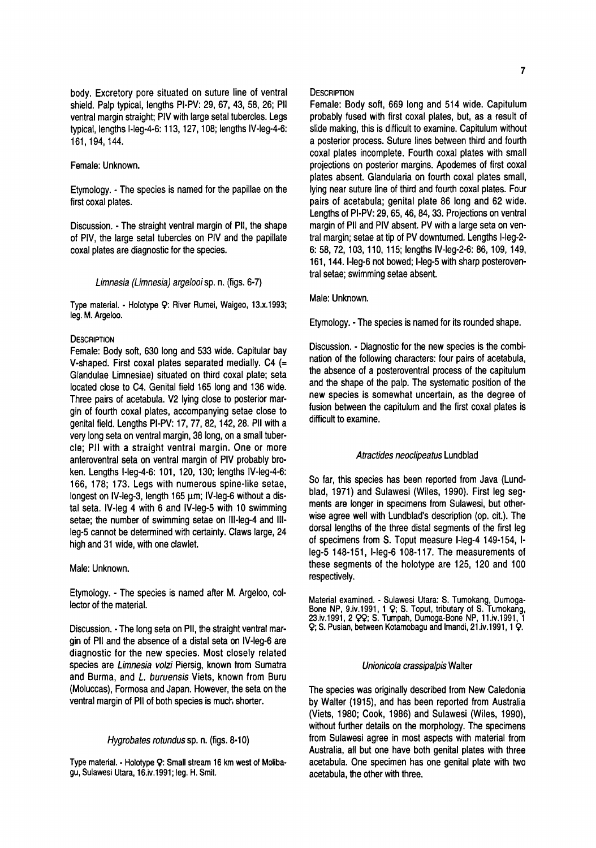body. Excretory pore situated on suture line of ventral shield. Palp typical, lengths PI-PV: 29, 67, 43, 58, 26; Pll ventral margin straight; PIV with large setal tubercles. Legs typical, lengths l-leg-4-6:113,127,108; lengths IV-leg-4-6: 161,194,144.

Female: Unknown.

Etymology. -The species is named for the papillae on the first coxal plates.

Discussion. - The straight ventral margin of PII, the shape of PIV, the large setal tubercles on PIV and the papillate coxal plates are diagnostic for the species.

Limnesia (Limnesia) argelooi sp. n. (figs. 6-7)

Type material. - Holotype 9: River Rumei, Waigeo, 13.X.1993; leg. M. Argeloo.

# **DESCRIPTION**

Female: Body soft, 630 long and 533 wide. Capitular bay V-shaped. First coxal plates separated medially. C4 (= Glandulae Limnesiae) situated on third coxal plate; seta located close to C4. Genital field 165 long and 136 wide. Three pairs of acetabula. V2 lying close to posterior margin of fourth coxal plates, accompanying setae close to genital field. Lengths PI-PV: 17, 77, 82,142, 28. Pll with a very long seta on ventral margin, 38 long, on <sup>a</sup> small tubercle; Pll with <sup>a</sup> straight ventral margin. One or more anteroventral seta on ventral margin of PIV probably broken. Lengths l-leg-4-6: 101, 120, 130; lengths IV-leg-4-6: 166, 178; 173. Legs with numerous spine-like setae, longest on IV-leg-3, length 165 um; IV-leg-6 without a distal seta. IV-leg 4 with 6 and IV-leg-5 with 10 swimming setae; the number of swimming setae on lll-leg-4 and IIIleg-5 cannot be determined with certainty. Claws large, 24 high and 31 wide, with one clawlet.

Male: Unknown.

Etymology. - The species is named after M. Argeloo, collector of the material.

Discussion. -The long seta on Pll, the straight ventral margin of Pll and the absence of a distal seta on IV-leg-6 are diagnostic for the new species. Most closely related species are Limnesia volzi Piersig, known from Sumatra and Burma, and L. buruensis Viets, known from Buru (Moluccas), Formosa and Japan. However, the seta on the ventral margin of Pll of both species is much shorter.

#### Hygrobates rotundus sp. n. (figs. 8-10)

Type material. - Holotype Ç: Small stream <sup>16</sup> km west of Molibagu, Sulawesi Utara, 16.iv.1991; leg. H. Smit.

#### **DESCRIPTION**

Female: Body soft, 669 long and 514 wide. Capitulum probably fused with first coxal plates, but, as <sup>a</sup> result of slide making, this is difficult to examine. Capitulum without a posterior process. Suture lines between third and fourth coxal plates incomplete. Fourth coxal plates with small projections on posterior margins. Apodemes of first coxal plates absent. Glandularia on fourth coxal plates small, lying near suture line of third and fourth coxal plates. Four pairs of acetabula; genital plate 86 long and 62 wide. Lengths of PI-PV: 29, 65,46,84, 33. Projections on ventral margin of Pll and PIV absent. PV with a large seta on ventral margin; setae at tip of PV downturned. Lengths l-leg-2- 6: 58, 72, 103, 110, 115; lengths IV-leg-2-6: 86, 109, 149, 161, 144. I-leg-6 not bowed; I-leg-5 with sharp posteroventral setae; swimming setae absent.

# Male: Unknown.

Etymology. -The species is named for its rounded shape.

Discussion. - Diagnostic for the new species is the comb nation of the following characters: four pairs of acetabula, the absence of <sup>a</sup> posteroventral process of the capitulum and the shape of the palp. The systematic position of the new species is somewhat uncertain, as the degree of fusion between the capitulum and the first coxal plates is difficult to examine.

# Atractides neoclipeatus Lundblad

So far, this species has been reported from Java (Lundblad, 1971) and Sulawesi (Wiles, 1990). First leg segments are longer in specimens from Sulawesi, but otherwise agree well with Lundblad's description (op. cit.). The dorsal lengths of the three distal segments of the first leg of specimens from S. Toput measure l-leg-4 149-154, Ileg-5 148-151, l-leg-6 108-117. The measurements of these segments of the holotype are 125, 120 and 100 respectively.

Material examined. - Sulawesi Utara: S. Tumokang, Dumoga-Bone NP, 9.iv.1991, <sup>1</sup> Ç; S. Toput, tributary of S. Tumokang, 23.iv.1991, 2  $QQ$ ; S. Tumpah, Dumoga-Bone NP, 11.iv.1991, 1 9; S. Pusian, between Kotamobagu and Imandi, 21.iv.1991,1 9-

# Unionicola crassipalpis Walter

The species was originally described from New Caledonia by Walter (1915), and has been reported from Australia (Viets, 1980; Cook, 1986) and Sulawesi (Wiles, 1990), without further details on the morphology. The specimens from Sulawesi agree in most aspects with material from Australia, all but one have both genital plates with three acetabula. One specimen has one genital plate with two acetabula, the other with three.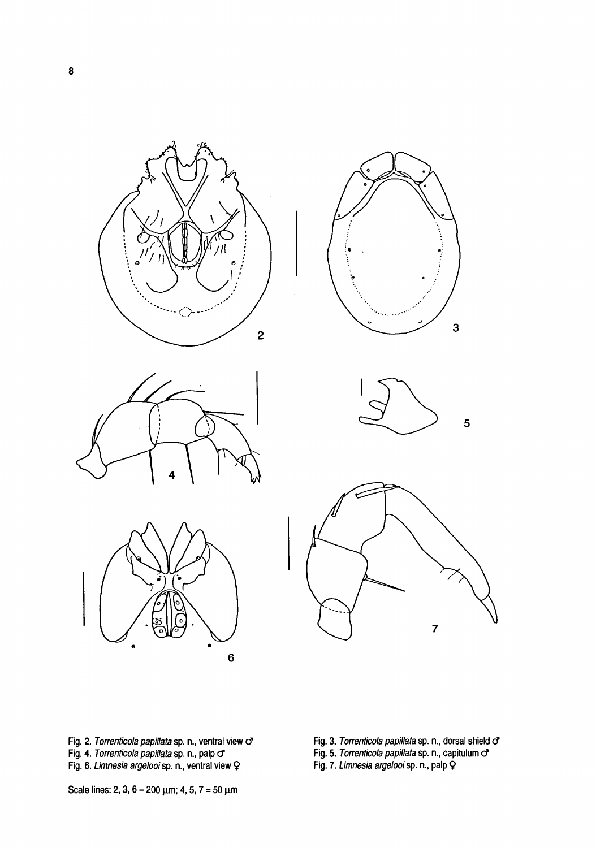











Fig. 2. Torrenticola papillata sp. n., ventral view o<sup>r</sup> Fig. 4. Torrenticola papillata sp. n., palp of Fig. 6. Limnesia argelooi sp. n., ventral view Q

- Fig. 3. *Torrenticola papillata* sp. n., dorsal shield o<sup>r</sup><br>Fig. 5. *Torrenticola papillata* sp. n., capitulum o<sup>r</sup>
- 

Fig. 7. Limnesia argelooi sp. n., palp

Scale lines: 2, 3,  $6 = 200 \mu m$ ; 4, 5,  $7 = 50 \mu m$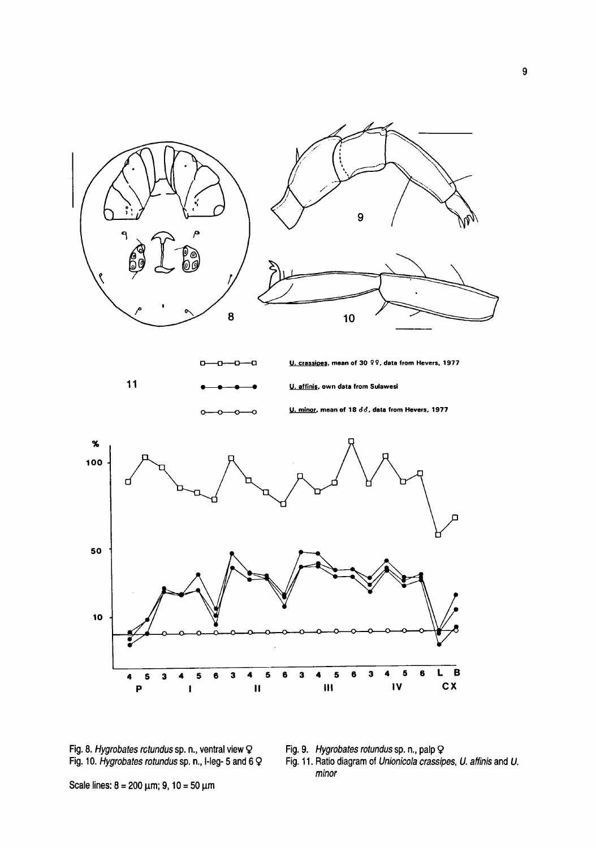

Fig. 8. Hygrobates rotundus sp. n., ventral view Q Fig. 10. Hygrobates rotundus sp. n., I-leg- <sup>5</sup> and <sup>6</sup> Fig. 9. Hygrobates rotundus sp. n., palp Ç

Fig. 11. Ratio diagram of Unionicola crassipes, U. affinis and U. minor

Scale lines:  $8 = 200 \mu m$ ; 9, 10 = 50 μm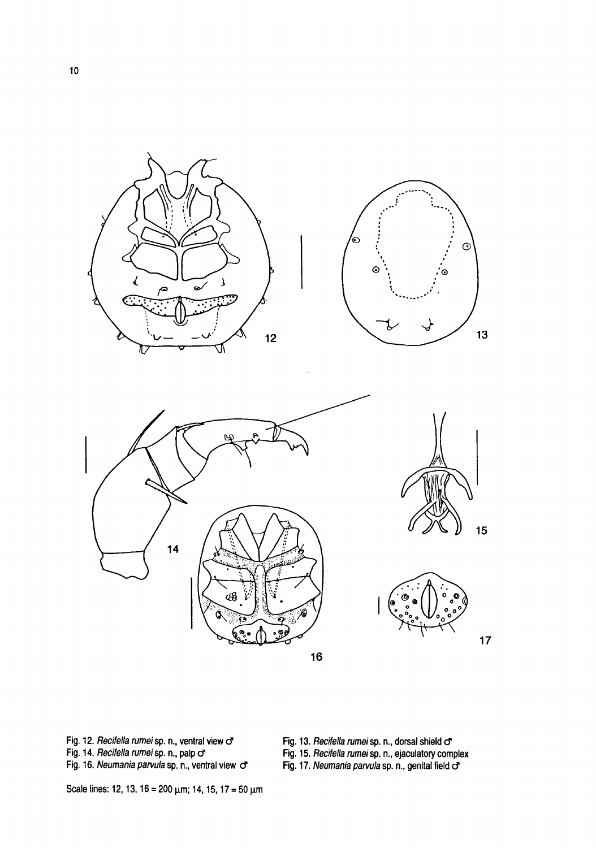

Fig. 12. *Recifella rumei* sp. n., ventral view o<sup>o</sup> vg. 12. neement rumerep.n., ventral view of<br>Fig. 14. *Recifella rumei* sp. n., palp o<sup>r</sup><br>Fig. 16. *Neumania parvula* sp. n., ventral view o<sup>r</sup> Fig. 13. Recifella rumei sp. n., dorsal shield o

Fig. 15. Recifella rumei sp. n., ejaculatory complex

Fig. 17. Neumania parvula sp. n., genital field o'

Scale lines: 12, 13, 16 = 200  $\mu$ m; 14, 15, 17 = 50  $\mu$ m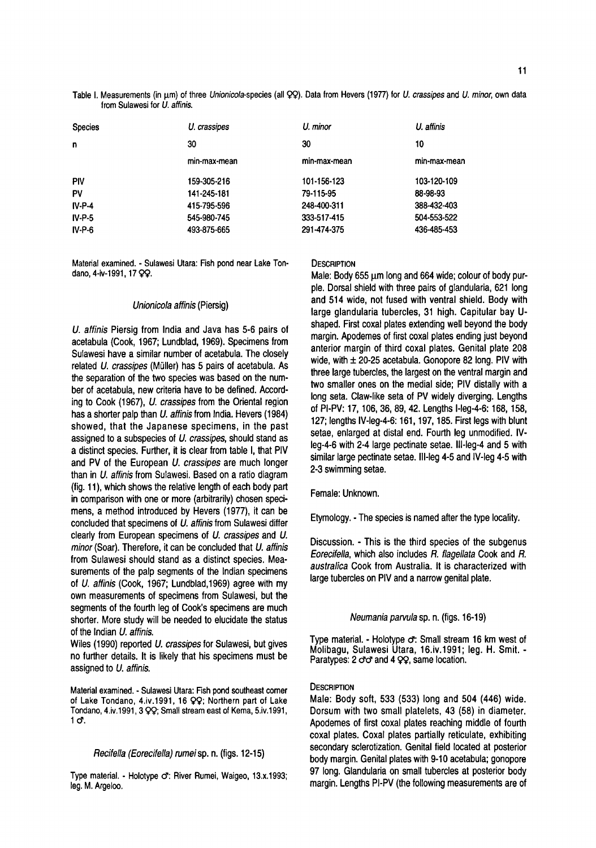Table I. Measurements (in μm) of three Unionicola-species (all QQ). Data from Hevers (1977) for U. crassipes and U. minor, own data from Sulawesi for U. affinis.

| <b>Species</b> | U. crassipes | U. minor     | U. affinis   |
|----------------|--------------|--------------|--------------|
| n              | 30           | 30           | 10           |
|                | min-max-mean | min-max-mean | min-max-mean |
| PIV            | 159-305-216  | 101-156-123  | 103-120-109  |
| PV             | 141-245-181  | 79-115-95    | 88-98-93     |
| $IV-P-4$       | 415-795-596  | 248-400-311  | 388-432-403  |
| $IV-P-5$       | 545-980-745  | 333-517-415  | 504-553-522  |
| $IV-P-6$       | 493-875-665  | 291-474-375  | 436-485-453  |

Material examined. - Sulawesi Utara: Fish pond near Lake Tondano, 4-iv-1991, 17 QQ.

#### Unionicola affinis (Piersig)

U. affinis Piersig from India and Java has 5-6 pairs of acetabula (Cook, 1967; Lundblad, 1969). Specimens from Sulawesi have a similar number of acetabula. The closely related U. crassipes (Müller) has 5 pairs of acetabula. As the separation of the two species was based on the number of acetabula, new criteria have to be defined. According to Cook (1967), U. crassipes from the Oriental region has a shorter palp than U. affinis from India. Hevers (1984) showed, that the Japanese specimens, in the past assigned to <sup>a</sup> subspecies of U. crassipes, should stand as a distinct species. Further, it is clear from table I, that PIV and PV of the European U. crassipes are much longer than in U. affinis from Sulawesi. Based on a ratio diagram (fig. 11), which shows the relative length of each body part in comparison with one or more (arbitrarily) chosen specimens, <sup>a</sup> method introduced by Hevers (1977), it can be concluded that specimens of U. affinis from Sulawesi differ clearly from European specimens of U. crassipes and U. minor (Soar). Therefore, it can be concluded that U. affinis from Sulawesi should stand as a distinct species. Measurements of the palp segments of the Indian specimens of U. affinis (Cook, 1967; Lundblad,1969) agree with my own measurements of specimens from Sulawesi, but the segments of the fourth leg of Cook's specimens are much shorter. More study will be needed to elucidate the status of the Indian U. affinis.

Wiles (1990) reported U. crassipes for Sulawesi, but gives no further details. It is likely that his specimens must be assigned to U. affinis.

Material examined. - Sulawesi Utara: Fish pond southeast corner of Lake Tondano, 4.iv.1991, 16 99; Northern part of Lake Tondano, 4.iv.1991,3 99; Small stream east of Kema, 5.iv.1991,  $1\sigma$ .

# Recifella (Eorecifella) rumei sp. n. (figs. 12-15)

Type material. - Holotype ♂: River Rumei, Waigeo, 13.x.1993; leg. M. Argeloo.

# **DESCRIPTION**

Male: Body 655 µm long and 664 wide; colour of body purple. Dorsal shield with three pairs of glandularia, 621 long and 514 wide, not fused with ventral shield. Body with large glandularia tubercles, 31 high. Capitular bay Ushaped. First coxal plates extending well beyond the body margin. Apodemes of first coxal plates ending just beyond anterior margin of third coxal plates. Genital plate 208 wide, with  $\pm$  20-25 acetabula. Gonopore 82 long. PIV with three large tubercles, the largest on the ventral margin and two smaller ones on the medial side; PIV distally with <sup>a</sup> long seta. Claw-like seta of PV widely diverging. Lengths of PI-PV: 17,106, 36, 89, 42. Lengths l-leg-4-6: 168, 158, 127; lengths IV-leg-4-6:161,197, 185. First legs with blunt setae, enlarged at distal end. Fourth leg unmodified. IVleg-4-6 with 2-4 large pectinate setae, lll-leg-4 and 5 with similar large pectinate setae. III-leg 4-5 and IV-leg 4-5 with 2-3 swimming setae.

# Female: Unknown.

Etymology. - The species is named after the type locality.

Discussion. -This is the third species of the subgenus Eorecifella, which also includes R. flagellata Cook and R. australica Cook from Australia. It is characterized with large tubercles on PIV and a narrow genital plate.

Neumania parvula sp. n. (figs. 16-19)

Type material. - Holotype  $\sigma$ : Small stream 16 km west of Molibagu, Sulawesi Utara, 16.iv.1991; leg. H. Smit. - Paratypes:  $2 \text{ or and } 4 \text{ }$   $QQ$ , same location.

#### **DESCRIPTION**

Male: Body soft, 533 (533) long and 504 (446) wide. Dorsum with two small platelets, 43 (58) in diameter. Apodemes of first coxal plates reaching middle of fourth coxal plates. Coxal plates partially reticulate, exhibiting secondary sclerotization. Genital field located at posterior body margin. Genital plates with 9-10 acetabula; gonopore 97 long. Glandularia on small tubercles at posterior body margin. Lengths PI-PV (the following measurements are of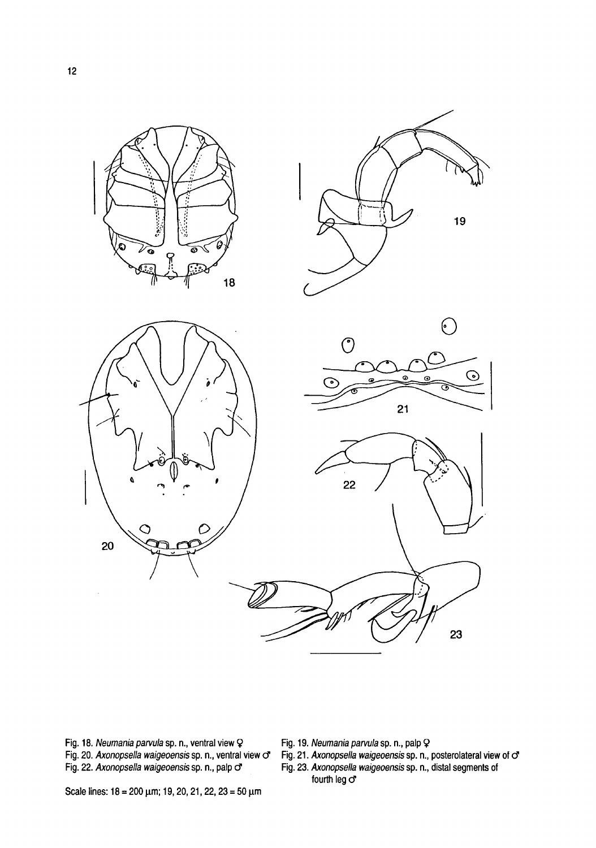

Fig. 18. Neumania parvula sp. n., ventral view Q Fig. 20. Axonopsella waigeoensis sp. n., ventral view o Fig. 22. Axonopsella waigeoensis sp. n., palp o

Fig. 19. Neumania parvula sp. n., palp <mark>Q</mark><br>Fig. 21. Axonopsella waigeoensis sp. n., posterolateral view of <mark>o</mark>\* Fig. 23. Axonopsella waigeoensis sp. n., distal segments of fourth leg o'

Scale lines: <sup>18</sup> <sup>=</sup> 200 μm; 19, 20, 21, 22, <sup>23</sup> <sup>=</sup> 50 μm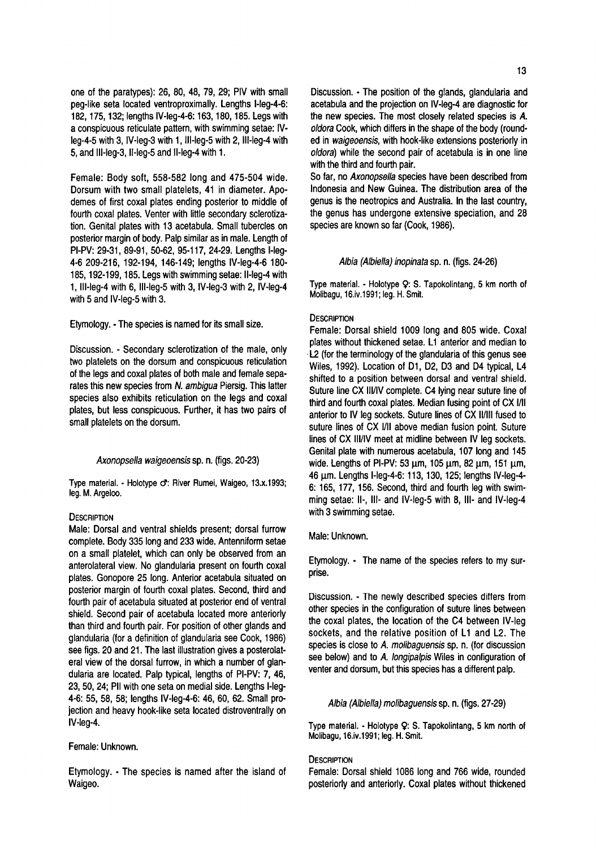one of the paratypes): 26, 80, 48, 79, 29; PIV with small peg-like seta located ventroproximally. Lengths l-leg-4-6: 182,175,132; lengths IV-leg-4-6:163,180, 185. Legs with a conspicuous reticulate pattern, with swimming setae: IVleg-4-5 with 3, IV-leg-3 with 1, lll-leg-5 with 2, lll-leg-4 with 5, and lll-leg-3, ll-leg-5 and ll-leg-4 with 1.

Female: Body soft, 558-582 long and 475-504 wide. Dorsum with two small platelets, 41 in diameter. Apodemes of first coxal plates ending posterior to middle of fourth coxal plates. Venter with little secondary sclerotization. Genital plates with 13 acetabula. Small tubercles on posterior margin of body. Palp similar as in male. Length of PI-PV: 29-31, 89-91, 50-62, 95-117, 24-29. Lengths l-leg-4-6 209-216, 192-194, 146-149; lengths IV-leg-4-6 180- 185,192-199,185. Legs with swimming setae: ll-leg-4 with 1, lll-leg-4 with 6, lll-leg-5 with 3, IV-leg-3 with 2, IV-leg-4 with 5 and IV-leg-5 with 3.

Etymology. -The species is named for its small size.

Discussion. - Secondary sclerotization of the male, only two platelets on the dorsum and conspicuous reticulation of the legs and coxal plates of both male and female separates this new species from N. ambigua Piersig. This latter species also exhibits reticulation on the legs and coxal plates, but less conspicuous. Further, it has two pairs of small platelets on the dorsum.

#### Axonopsella waigeoensis sp. n. (figs. 20-23)

Type material. - Holotype o: River Rumei, Waigeo, 13.x.1993; leg. M. Argeloo.

#### **DESCRIPTION**

Male: Dorsal and ventral shields present; dorsal furrow complete. Body 335 long and 233 wide. Antenniform setae on a small platelet, which can only be observed from an anterolateral view. No glandularia present on fourth coxal plates. Gonopore 25 long. Anterior acetabula situated on posterior margin of fourth coxal plates. Second, third and fourth pair of acetabula situated at posterior end of ventral shield. Second pair of acetabula located more anteriorly than third and fourth pair. For position of other glands and glandularia (for <sup>a</sup> definition of glandularia see Cook, 1986) see figs. 20 and 21. The last illustration gives a posterolateral view of the dorsal furrow, in which <sup>a</sup> number of glandularia are located. Palp typical, lengths of PI-PV: 7, 46, 23,50, 24; Pll with one seta on medial side. Lengths l-leg-4-6; 55, 58, 58; lengths IV-leg-4-6: 46, 60, 62. Small projection and heavy hook-like seta located distroventrally on IV-leg-4.

#### Female: Unknown.

Etymology. - The species is named after the island of Waigeo.

Discussion. - The position of the glands, glandularia and acetabula and the projection on IV-leg-4 are diagnostic for the new species. The most closely related species is A. oldora Cook, which differs in the shape of the body (rounded in waigeoensis, with hook-like extensions posteriorly in oldora) while the second pair of acetabula is in one line with the third and fourth pair.

So far, no Axonopsella species have been described from Indonesia and New Guinea. The distribution area of the genus is the neotropics and Australia. In the last country, the genus has undergone extensive speciation, and 28 species are known so far (Cook, 1986).

#### Albia (Albiella) inopinata sp. n. (figs. 24-26)

Type material. - Holotype Ç: S. Tapokolintang, 5 km north of Molibagu, 16.iv. 1991; leg. H. Smit.

# **DESCRIPTION**

Female: Dorsal shield 1009 long and 805 wide. Coxal plates without thickened setae. L1 anterior and median to L2 (for the terminology of the glandularia of this genus see Wiles, 1992). Location of D1, D2, D3 and D4 typical, L4 shifted to a position between dorsal and ventral shield. Suture line CX lll/IV complete. C4 lying near suture line of third and fourth coxal plates. Median fusing point of CX l/ll anterior to IV leg sockets. Suture lines of CX ll/lll fused to suture lines of CX l/ll above median fusion point. Suture lines of CX lll/IV meet at midline between IV leg sockets. Genital plate with numerous acetabula, 107 long and 145 wide. Lengths of PI-PV: 53  $\mu$ m, 105  $\mu$ m, 82  $\mu$ m, 151  $\mu$ m, 46 (im. Lengths l-leg-4-6: 113, 130,125; lengths IV-leg-4- 6: 165, 177, 156. Second, third and fourth leg with swimming setae: II-, III- and IV-leg-5 with 8, III- and IV-leg-4 with 3 swimming setae.

#### Male: Unknown.

Etymology. - The name of the species refers to my surprise.

Discussion. - The newly described species differs from other species in the configuration of suture lines between the coxal plates, the location of the C4 between IV-leg sockets, and the relative position of L1 and L2. The species is close to A. molibaguensis sp. n. (for discussion see below) and to A. longipalpis Wiles in configuration of venter and dorsum, but this species has a different palp.

#### Albia (Albiella) molibaguensis sp. n. (figs. 27-29)

Type material. - Holotype 9: S. Tapokolintang, 5 km north of Molibagu, 16.iv.1991; leg. H. Smit.

# **DESCRIPTION**

Female: Dorsal shield 1086 long and 766 wide, rounded posteriorly and anteriorly. Coxal plates without thickened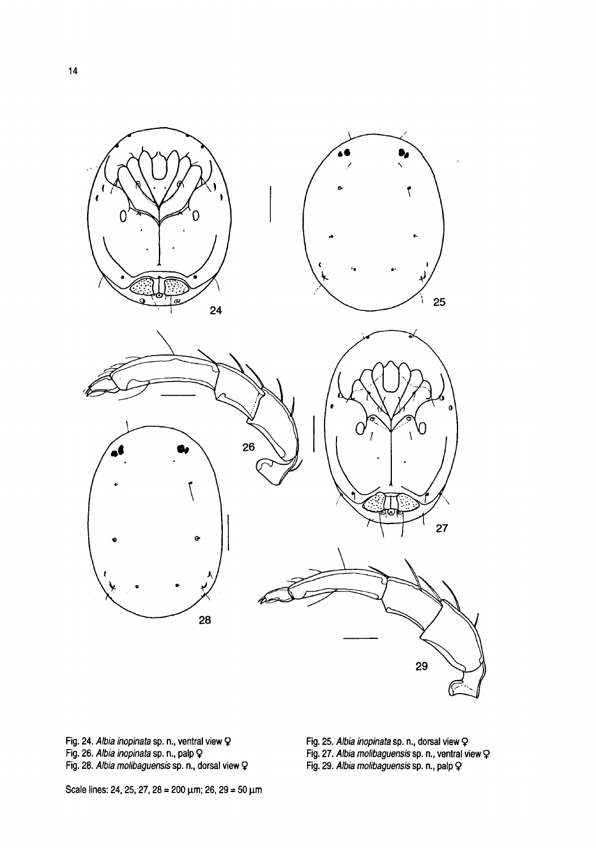

Fig. 24. Albia inopinata sp. n., ventral view Q Fig. 26. Albia inopinata sp. n., palp Q Fig. 28. Albia molibaguensis sp. n., dorsal view Fig. 25. Albia inopinata sp. n., dorsal view Q Fig. 27. Albia molibaguensis sp. n., ventral view Fig. 29. Albia molibaguensis sp. n., renna<br>Fig. 29. Albia molibaguensis sp. n., palp Q

Scale lines: 24, 25, 27, 28 = 200 μm; 26, 29 <sup>=</sup> 50 μm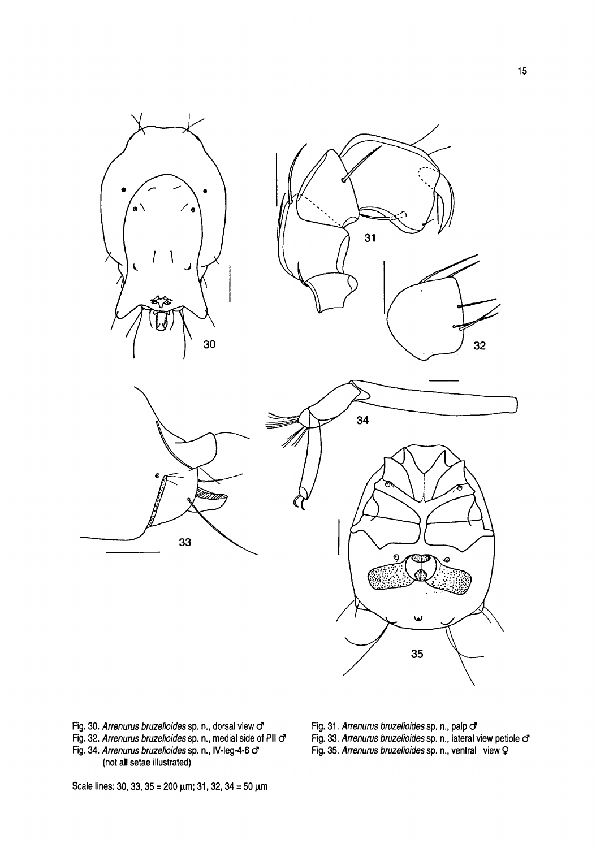

Fig. 30. Arrenurus bruzelioides sp. n., dorsal view  $\sigma$ Fig. 32. Arrenurus bruzelioides sp. n., medial side of PII or Fig. 34. Arrenurus bruzelioides sp. n., IV-leg-4-6  $\sigma$ (not all setae illustrated)

Fig. 31. Arrenurus bruzelioides sp. n., palp o

rig. 31. *Arrenurus bruzelioides* sp. n., paip O<br>Fig. 33. *Arrenurus bruzelioides* sp. n., lateral view petiole o<sup>r</sup>

Fig. 35. Arrenurus bruzelioides sp. n., ventral view Q

Scale lines: 30, 33, 35 = 200  $\mu$ m; 31, 32, 34 = 50  $\mu$ m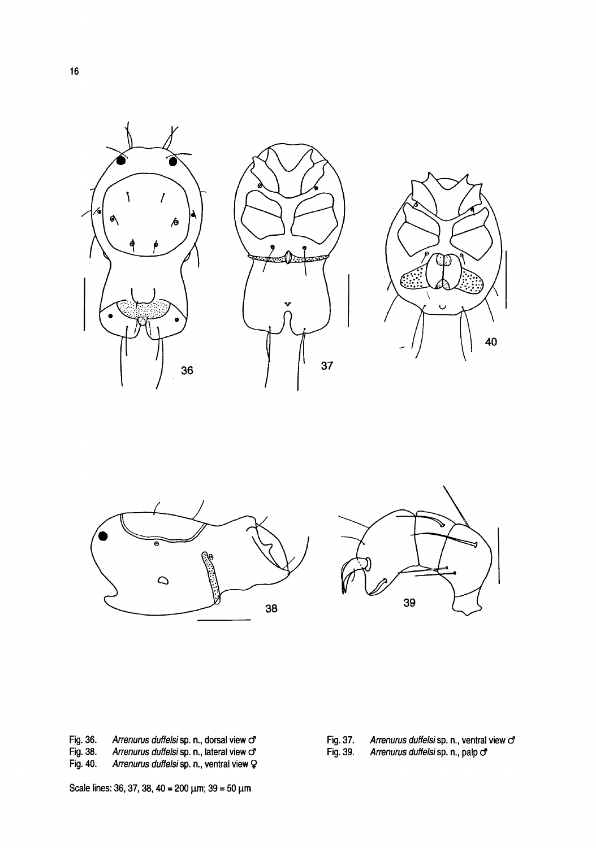





Fig. 36. Arrenurus duffelsi sp. n., dorsal view o<sup>n</sup><br>Fig. 38. Arrenurus duffelsi sp. n., lateral view o<sup>n</sup><br>Fig. 40. Arrenurus duffelsi sp. n., ventral view Q Arrenurus duffelsi sp. n., lateral view  $\sigma$ 

Arrenurus duffelsi sp. n., ventral view Q

Fig. 37. Arrenurus duffelsi sp. n., ventral view  $\sigma$ <br>Fig. 39. Arrenurus duffelsi sp. n., palp  $\sigma$ 

Arrenurus duffelsi sp. n., palp o

Scale lines: 36, 37, 38, 40 = 200  $\mu$ m; 39 = 50  $\mu$ m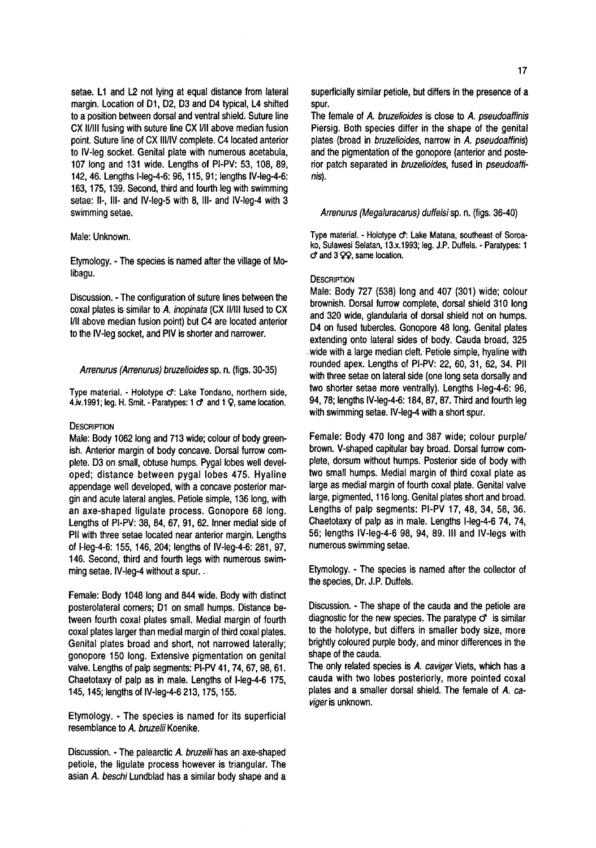setae. L1 and L2 not lying at equal distance from lateral margin. Location of D1, D2, D3 and D4 typical, L4 shifted to a position between dorsal and ventral shield. Suture line CX ll/lll fusing with suture line CX l/ll above median fusion point. Suture line of CX lll/IV complete. C4 located anterior to IV-leg socket. Genital plate with numerous acetabula, 107 long and 131 wide. Lengths of PI-PV: 53, 108, 89, 142, 46. Lengths l-leg-4-6: 96,115, 91; lengths IV-leg-4-6: 163,175,139. Second, third and fourth leg with swimming setae: II-, III- and IV-leg-5 with 8, III- and IV-leg-4 with 3 swimming setae.

# Male: Unknown.

Etymology. -The species is named after the village of Molibagu.

Discussion. - The configuration of suture lines between the coxal plates is similar to A. inopinata (CX ll/lll fused to CX I/II above median fusion point) but C4 are located anterior to the IV-leg socket, and PIV is shorter and narrower.

#### Arrenurus (Arrenurus) bruzelioides sp. n. (figs. 30-35)

Type material. - Holotype o: Lake Tondano, northern side, 4.iv.1991; leg. H. Smit. - Paratypes:  $1 \circ$  and  $1 \circ$ , same location.

### **DESCRIPTION**

Male: Body 1062 long and 713 wide; colour of body greenish. Anterior margin of body concave. Dorsal furrow complete. D3 on small, obtuse humps. Pygal lobes well developed; distance between pygal lobes 475. Hyaline appendage well developed, with a concave posterior margin and acute lateral angles. Petiole simple, 136 long, with an axe-shaped ligulate process. Gonopore 68 long. Lengths of PI-PV: 38, 84, 67, 91, 62. Inner medial side of Pll with three setae located near anterior margin. Lengths of l-leg-4-6: 155, 146, 204; lengths of IV-leg-4-6: 281, 97, 146. Second, third and fourth legs with numerous swimming setae. IV-leg-4 without a spur.

Female: Body 1048 long and 844 wide. Body with distinct posterolateral corners; D1 on small humps. Distance between fourth coxal plates small. Medial margin of fourth coxal plates larger than medial margin of third coxal plates. Genital plates broad and short, not narrowed laterally; gonopore 150 long. Extensive pigmentation on genital valve. Lengths of palp segments: PI-PV 41, 74, 67, 98, 61. Chaetotaxy of palp as in male. Lengths of l-leg-4-6 175, 145,145; lengths of IV-leg-4-6 213,175,155.

Etymology. - The species is named for its superficial resemblance to A. bruzelii Koenike.

Discussion. - The palearctic A. bruzelii has an axe-shaped petiole, the ligulate process however is triangular. The asian A. beschi Lundblad has a similar body shape and a superficially similar petiole, but differs in the presence of <sup>a</sup> spur.

The female of A. bruzelioides is close to A. pseudoaffinis Piersig. Both species differ in the shape of the genital plates (broad in bruzelioides, narrow in A. pseudoaffinis) and the pigmentation of the gonopore (anterior and posterior patch separated in bruzelioides, fused in pseudoaffinis).

## Arrenurus (Megaluracarus) duffelsisp. n. (figs. 36-40)

Type material. - Holotype o: Lake Matana, southeast of Soroa ko, Sulawesi Selatan, 13.X.1993; leg. J.P. Duffels. - Paratypes: <sup>1</sup>  $C^*$  and 3  $QQ$ , same location.

# **DESCRIPTION**

Male: Body 727 (538) long and 407 (301) wide; colour brownish. Dorsal furrow complete, dorsal shield 310 long and 320 wide, glandularia of dorsal shield not on humps. D4 on fused tubercles. Gonopore 48 long. Genital plates extending onto lateral sides of body. Cauda broad, 325 wide with a large median cleft. Petiole simple, hyaline with rounded apex. Lengths of PI-PV: 22, 60, 31, 62, 34. Pll with three setae on lateral side (one long seta dorsally and two shorter setae more ventrally). Lengths l-leg-4-6: 96, 94, 78; lengths IV-leg-4-6:184, 87, 87. Third and fourth leg with swimming setae. IV-leg-4 with <sup>a</sup> short spur.

Female: Body 470 long and 387 wide; colour purple/ brown. V-shaped capitular bay broad. Dorsal furrow complete, dorsum without humps. Posterior side of body with two small humps. Medial margin of third coxal plate as large as medial margin of fourth coxal plate. Genital valve large, pigmented, 116 long. Genital plates short and broad. Lengths of palp segments: PI-PV 17, 48, 34, 58, 36. Chaetotaxy of palp as in male. Lengths l-leg-4-6 74, 74, 56; lengths IV-leg-4-6 98, 94, 89. Ill and IV-legs with numerous swimming setae.

Etymology. - The species is named after the collector of the species, Dr. J.P. Duffels.

Discussion. - The shape of the cauda and the petiole are diagnostic for the new species. The paratype  $\sigma$  is similar to the holotype, but differs in smaller body size, more brightly coloured purple body, and minor differences in the shape of the cauda.

The only related species is A. caviger Viets, which has a cauda with two lobes posteriorly, more pointed coxal plates and a smaller dorsal shield. The female of A. caviger is unknown.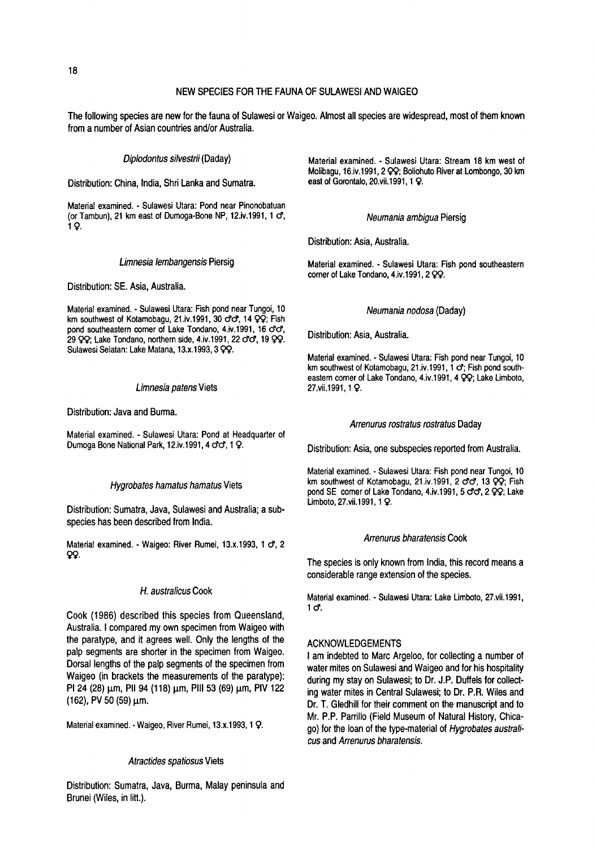# NEW SPECIES FOR THE FAUNA OF SULAWESI AND WAIGEO

The following species are new for the fauna of Sulawesi or Waigeo. Almost all species are widespread, mostof themknown from a number of Asian countries and/or Australia.

Diplodontus silvestrii (Daday)

Distribution: China, India, Shri Lanka and Sumatra.

Material examined. - Sulawesi Utara: Pond near Pinonobatuan (or Tambun), 21 km east of Dumoga-Bone NP, 12.iv.1991, 1 c7, 19-

#### Limnesia lembangensis Piersig

Distribution: SE. Asia, Australia.

Material examined. - Sulawesi Utara: Fish pond near Tungoi, 10 km southwest of Kotamobagu, 21.iv.1991, 30  $\sigma\sigma$ , 14  $\varphi\varphi$ ; Fish pond southeastern corner of Lake Tondano, 4.iv.1991, 16 c'c', 29  $QQ$ ; Lake Tondano, northern side, 4.iv.1991, 22  $\sigma\sigma$ , 19  $QQ$ . Sulawesi Selatan: Lake Matana, 13.x.1993, 3 QQ.

#### Limnesia patens Viets

Distribution: Java and Burma.

Material examined. - Sulawesi Utara: Pond at Headquarter of Dumoga Bone National Park, 12.iv.1991, 4  $\sigma\sigma$ , 1  $\Omega$ .

#### Hygrobates hamatus hamatus Viets

Distribution: Sumatra, Java, Sulawesi and Australia; a subspecies has been described from India.

Material examined. - Waigeo: River Rumei, 13.x.1993, 1 o<sup>o</sup>, 2 99.

#### H. australicus Cook

Cook (1986) described this species from Queensland, Australia. <sup>I</sup> compared my own specimen from Waigeo with the paratype, and it agrees well. Only the lengths of the palp segments are shorter in the specimen from Waigeo. Dorsal lengths of the palp segments of the specimen from Waigeo (in brackets the measurements of the paratype): PI 24 (28)  $\mu$ m, PII 94 (118)  $\mu$ m, PIII 53 (69)  $\mu$ m, PIV 122 (162), PV 50 (59)  $\mu$ m.

Material examined. - Waigeo, River Rumei, 13.x.1993, 1 <mark>Q</mark>.

#### Atractides spatiosus Viets

Distribution: Sumatra, Java, Burma, Malay peninsula and Brunei (Wiles, in litt.).

Material examined. - Sulawesi Utara: Stream 18 km west of Molibagu, 16.iv.1991,2 99; Boliohuto River at Lombongo, 30 km east of Gorontalo, 20.vii.1991, 1 Q.

#### Neumania ambigua Piersig

Distribution: Asia, Australia.

Material examined. - Sulawesi Utara: Fish pond southeastern corner of Lake Tondano, 4.iv.1991, 2 QQ.

#### Neumania nodosa (Daday)

Distribution: Asia, Australia.

Material examined. - Sulawesi Utara: Fish pond near Tungoi, 10 km southwest of Kotamobagu, 21.iv.1991,  $1 \sigma$ ; Fish pond southeastern corner of Lake Tondano, 4.iv.1991, 4 QQ; Lake Limboto, 27.vii.1991,1 9.

#### Arrenurus rostratus rostratus Daday

Distribution: Asia, one subspecies reported from Australia.

Material examined. - Sulawesi Utara: Fish pond near Tungoi, 10 km southwest of Kotamobagu, 21.iv.1991, 2  $\sigma\sigma$ , 13  $\varphi\varphi$ ; Fish pond SE corner of Lake Tondano, 4.iv.1991, 5 cfc7, 2 QQ; Lake Limboto, 27.vii.1991,1 9-

# Arrenurus bharatensis Cook

The species is only known from India, this record means <sup>a</sup> considerable range extension of the species.

Material examined. - Sulawesi Utara: Lake Limboto, 27.vii.1991,  $1 \sigma$ .

#### ACKNOWLEDGEMENTS

<sup>I</sup> am indebted to Marc Argeloo, for collecting <sup>a</sup> number of water mites on Sulawesi and Waigeo and for his hospitality during my stay on Sulawesi; to Dr. J.P. Duffels for collecting water mites in Central Sulawesi; to Dr. P.R. Wiles and Dr. T. Gledhill for their comment on the manuscript and to Mr. P.P. Parrillo (Field Museum of Natural History, Chicago) for the loan of the type-material of Hygrobates australicus and Arrenurus bharatensis.